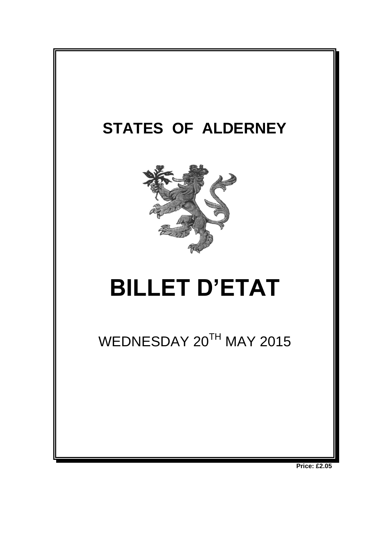

**Price: £2.05**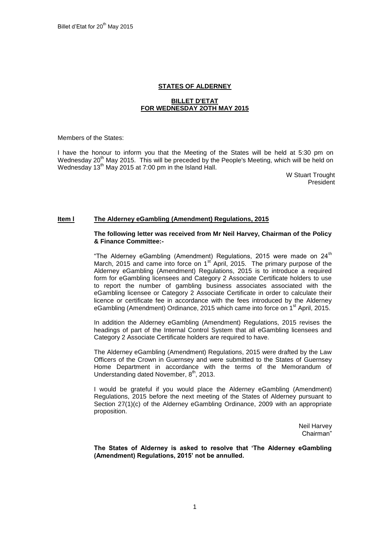## **STATES OF ALDERNEY**

#### **BILLET D'ETAT FOR WEDNESDAY 2OTH MAY 2015**

Members of the States:

I have the honour to inform you that the Meeting of the States will be held at 5:30 pm on Wednesday 20<sup>th</sup> May 2015. This will be preceded by the People's Meeting, which will be held on Wednesday 13<sup>th</sup> May 2015 at 7:00 pm in the Island Hall.

W Stuart Trought President

## **Item l The Alderney eGambling (Amendment) Regulations, 2015**

#### **The following letter was received from Mr Neil Harvey, Chairman of the Policy & Finance Committee:-**

"The Alderney eGambling (Amendment) Regulations, 2015 were made on 24<sup>th</sup> March, 2015 and came into force on 1<sup>st</sup> April, 2015. The primary purpose of the Alderney eGambling (Amendment) Regulations, 2015 is to introduce a required form for eGambling licensees and Category 2 Associate Certificate holders to use to report the number of gambling business associates associated with the eGambling licensee or Category 2 Associate Certificate in order to calculate their licence or certificate fee in accordance with the fees introduced by the Alderney eGambling (Amendment) Ordinance, 2015 which came into force on 1<sup>st</sup> April, 2015.

In addition the Alderney eGambling (Amendment) Regulations, 2015 revises the headings of part of the Internal Control System that all eGambling licensees and Category 2 Associate Certificate holders are required to have.

The Alderney eGambling (Amendment) Regulations, 2015 were drafted by the Law Officers of the Crown in Guernsey and were submitted to the States of Guernsey Home Department in accordance with the terms of the Memorandum of Understanding dated November, 8<sup>th</sup>, 2013.

I would be grateful if you would place the Alderney eGambling (Amendment) Regulations, 2015 before the next meeting of the States of Alderney pursuant to Section 27(1)(c) of the Alderney eGambling Ordinance, 2009 with an appropriate proposition.

> Neil Harvey Chairman"

**The States of Alderney is asked to resolve that 'The Alderney eGambling (Amendment) Regulations, 2015' not be annulled.**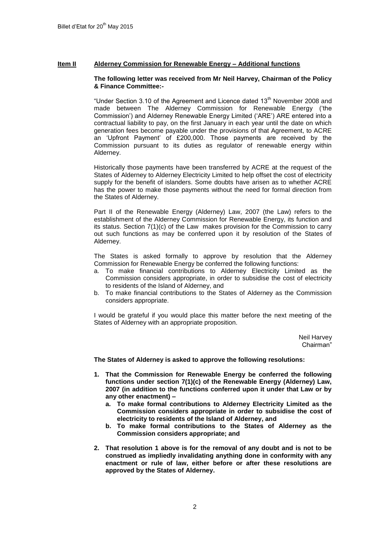# **Item II Alderney Commission for Renewable Energy – Additional functions**

#### **The following letter was received from Mr Neil Harvey, Chairman of the Policy & Finance Committee:-**

"Under Section 3.10 of the Agreement and Licence dated  $13<sup>th</sup>$  November 2008 and made between The Alderney Commission for Renewable Energy ('the Commission') and Alderney Renewable Energy Limited ('ARE') ARE entered into a contractual liability to pay, on the first January in each year until the date on which generation fees become payable under the provisions of that Agreement, to ACRE an 'Upfront Payment' of £200,000. Those payments are received by the Commission pursuant to its duties as regulator of renewable energy within Alderney.

Historically those payments have been transferred by ACRE at the request of the States of Alderney to Alderney Electricity Limited to help offset the cost of electricity supply for the benefit of islanders. Some doubts have arisen as to whether ACRE has the power to make those payments without the need for formal direction from the States of Alderney.

Part II of the Renewable Energy (Alderney) Law, 2007 (the Law) refers to the establishment of the Alderney Commission for Renewable Energy, its function and its status. Section 7(1)(c) of the Law makes provision for the Commission to carry out such functions as may be conferred upon it by resolution of the States of Alderney.

The States is asked formally to approve by resolution that the Alderney Commission for Renewable Energy be conferred the following functions:

- a. To make financial contributions to Alderney Electricity Limited as the Commission considers appropriate, in order to subsidise the cost of electricity to residents of the Island of Alderney, and
- b. To make financial contributions to the States of Alderney as the Commission considers appropriate.

I would be grateful if you would place this matter before the next meeting of the States of Alderney with an appropriate proposition.

> Neil Harvey Chairman"

**The States of Alderney is asked to approve the following resolutions:**

- **1. That the Commission for Renewable Energy be conferred the following functions under section 7(1)(c) of the Renewable Energy (Alderney) Law, 2007 (in addition to the functions conferred upon it under that Law or by any other enactment) –**
	- **a. To make formal contributions to Alderney Electricity Limited as the Commission considers appropriate in order to subsidise the cost of electricity to residents of the Island of Alderney, and**
	- **b. To make formal contributions to the States of Alderney as the Commission considers appropriate; and**
- **2. That resolution 1 above is for the removal of any doubt and is not to be construed as impliedly invalidating anything done in conformity with any enactment or rule of law, either before or after these resolutions are approved by the States of Alderney.**